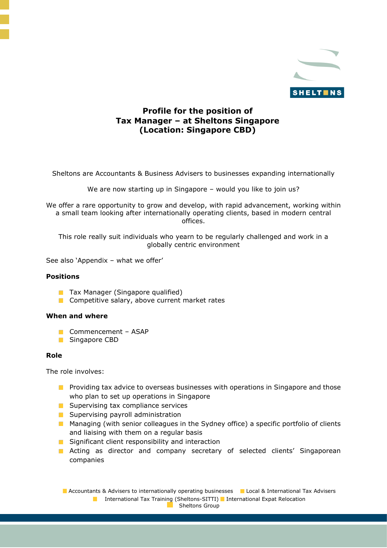

# **Profile for the position of Tax Manager – at Sheltons Singapore (Location: Singapore CBD)**

Sheltons are Accountants & Business Advisers to businesses expanding internationally

We are now starting up in Singapore – would you like to join us?

We offer a rare opportunity to grow and develop, with rapid advancement, working within a small team looking after internationally operating clients, based in modern central offices.

This role really suit individuals who yearn to be regularly challenged and work in a globally centric environment

See also 'Appendix – what we offer'

# **Positions**

- **Tax Manager (Singapore qualified)**
- **Competitive salary, above current market rates**

# **When and where**

- **Commencement ASAP**
- **Singapore CBD**

# **Role**

The role involves:

- **Providing tax advice to overseas businesses with operations in Singapore and those** who plan to set up operations in Singapore
- Supervising tax compliance services
- **Supervising payroll administration**
- **Managing (with senior colleagues in the Sydney office) a specific portfolio of clients** and liaising with them on a regular basis
- **Significant client responsibility and interaction**
- **Acting as director and company secretary of selected clients' Singaporean** companies

**Accountants & Advisers to internationally operating businesses L** Local & International Tax Advisers **International Tax Training (Sheltons-SITTI)** International Expat Relocation Sheltons Group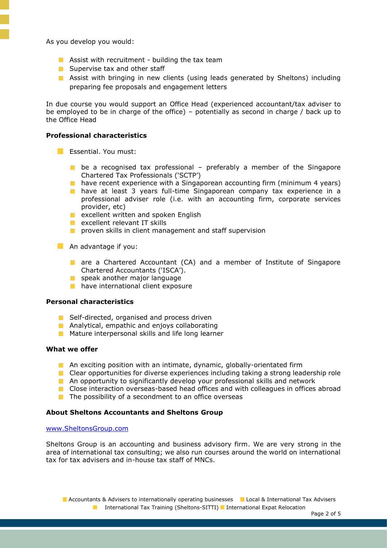As you develop you would:

- **Assist with recruitment building the tax team**
- Supervise tax and other staff
- **Assist with bringing in new clients (using leads generated by Sheltons) including** preparing fee proposals and engagement letters

In due course you would support an Office Head (experienced accountant/tax adviser to be employed to be in charge of the office) – potentially as second in charge / back up to the Office Head

# **Professional characteristics**

- **Essential. You must:** 
	- **be a recognised tax professional preferably a member of the Singapore** Chartered Tax Professionals ('SCTP')
	- **have recent experience with a Singaporean accounting firm (minimum 4 years)**
	- **have at least 3 years full-time Singaporean company tax experience in a** professional adviser role (i.e. with an accounting firm, corporate services provider, etc)
	- **E** excellent written and spoken English
	- **EXCELLENT RELEVANT IT SKILLS**
	- **P** proven skills in client management and staff supervision
- An advantage if you:
	- are a Chartered Accountant (CA) and a member of Institute of Singapore Chartered Accountants ('ISCA').
	- speak another major language
	- **have international client exposure**

### **Personal characteristics**

- Self-directed, organised and process driven
- **Analytical, empathic and enjoys collaborating**
- **Mature interpersonal skills and life long learner**

## **What we offer**

- An exciting position with an intimate, dynamic, globally-orientated firm
- **Clear opportunities for diverse experiences including taking a strong leadership role**
- **A** An opportunity to significantly develop your professional skills and network
- Close interaction overseas-based head offices and with colleagues in offices abroad
- $\blacksquare$  The possibility of a secondment to an office overseas

### **About Sheltons Accountants and Sheltons Group**

### [www.SheltonsGroup.com](http://www.sheltonsgroup.com/)

Sheltons Group is an accounting and business advisory firm. We are very strong in the area of international tax consulting; we also run courses around the world on international tax for tax advisers and in-house tax staff of MNCs.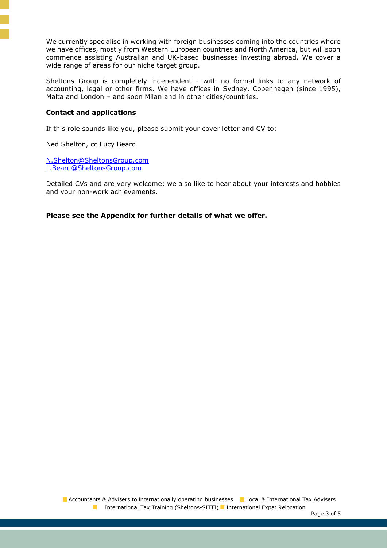We currently specialise in working with foreign businesses coming into the countries where we have offices, mostly from Western European countries and North America, but will soon commence assisting Australian and UK-based businesses investing abroad. We cover a wide range of areas for our niche target group.

Sheltons Group is completely independent - with no formal links to any network of accounting, legal or other firms. We have offices in Sydney, Copenhagen (since 1995), Malta and London – and soon Milan and in other cities/countries.

## **Contact and applications**

If this role sounds like you, please submit your cover letter and CV to:

Ned Shelton, cc Lucy Beard

[N.Shelton@SheltonsGroup.com](mailto:N.Shelton@SheltonsGroup.com) [L.Beard@SheltonsGroup.com](mailto:L.Beard@SheltonsGroup.com) 

Detailed CVs and are very welcome; we also like to hear about your interests and hobbies and your non-work achievements.

**Please see the Appendix for further details of what we offer.**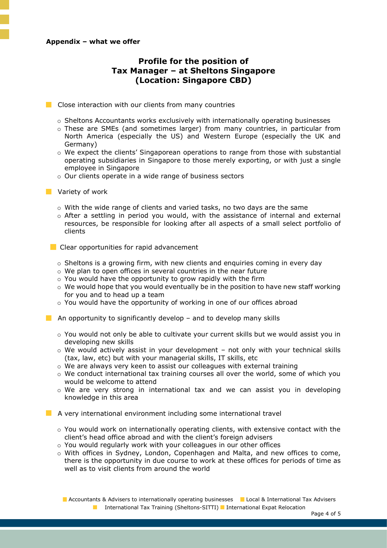### **Appendix – what we offer**

# **Profile for the position of Tax Manager – at Sheltons Singapore (Location: Singapore CBD)**

Close interaction with our clients from many countries

- $\circ$  Sheltons Accountants works exclusively with internationally operating businesses
- o These are SMEs (and sometimes larger) from many countries, in particular from North America (especially the US) and Western Europe (especially the UK and Germany)
- $\circ$  We expect the clients' Singaporean operations to range from those with substantial operating subsidiaries in Singapore to those merely exporting, or with just a single employee in Singapore
- o Our clients operate in a wide range of business sectors
- **Variety of work** 
	- $\circ$  With the wide range of clients and varied tasks, no two days are the same
	- o After a settling in period you would, with the assistance of internal and external resources, be responsible for looking after all aspects of a small select portfolio of clients
	- Clear opportunities for rapid advancement
		- $\circ$  Sheltons is a growing firm, with new clients and enguiries coming in every day
		- o We plan to open offices in several countries in the near future
		- o You would have the opportunity to grow rapidly with the firm
		- $\circ$  We would hope that you would eventually be in the position to have new staff working for you and to head up a team
		- o You would have the opportunity of working in one of our offices abroad
- **An opportunity to significantly develop** and to develop many skills
	- $\circ$  You would not only be able to cultivate your current skills but we would assist you in developing new skills
	- $\circ$  We would actively assist in your development not only with your technical skills (tax, law, etc) but with your managerial skills, IT skills, etc
	- o We are always very keen to assist our colleagues with external training
	- o We conduct international tax training courses all over the world, some of which you would be welcome to attend
	- $\circ$  We are very strong in international tax and we can assist you in developing knowledge in this area

A very international environment including some international travel

- $\circ$  You would work on internationally operating clients, with extensive contact with the client's head office abroad and with the client's foreign advisers
- o You would regularly work with your colleagues in our other offices
- o With offices in Sydney, London, Copenhagen and Malta, and new offices to come, there is the opportunity in due course to work at these offices for periods of time as well as to visit clients from around the world

**Accountants & Advisers to internationally operating businesses Accountant Divisors** Advisers **International Tax Training (Sheltons-SITTI)** International Expat Relocation